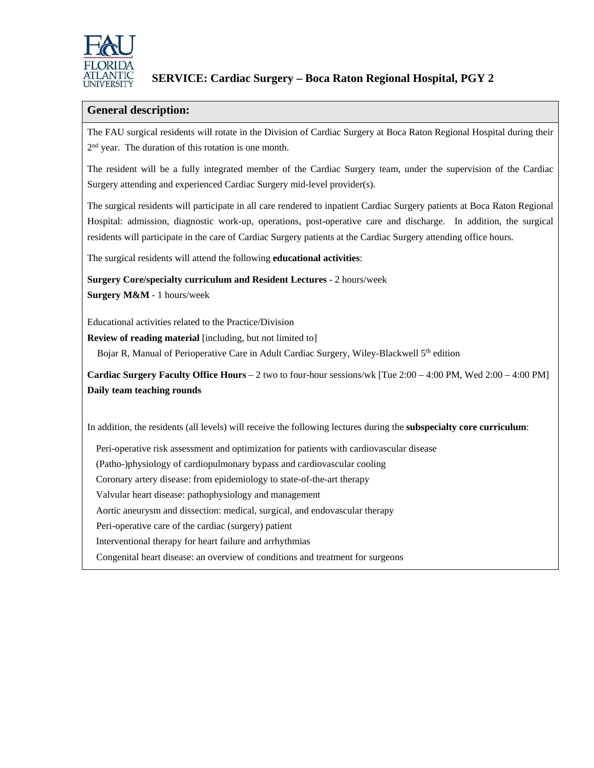

## **SERVICE: Cardiac Surgery – Boca Raton Regional Hospital, PGY 2**

## **General description:**

The FAU surgical residents will rotate in the Division of Cardiac Surgery at Boca Raton Regional Hospital during their 2<sup>nd</sup> year. The duration of this rotation is one month.

The resident will be a fully integrated member of the Cardiac Surgery team, under the supervision of the Cardiac Surgery attending and experienced Cardiac Surgery mid-level provider(s).

The surgical residents will participate in all care rendered to inpatient Cardiac Surgery patients at Boca Raton Regional Hospital: admission, diagnostic work-up, operations, post-operative care and discharge. In addition, the surgical residents will participate in the care of Cardiac Surgery patients at the Cardiac Surgery attending office hours.

The surgical residents will attend the following **educational activities**:

**Surgery Core/specialty curriculum and Resident Lectures** - 2 hours/week **Surgery M&M** - 1 hours/week

Educational activities related to the Practice/Division

**Review of reading material** [including, but not limited to]

Bojar R, Manual of Perioperative Care in Adult Cardiac Surgery, Wiley-Blackwell 5<sup>th</sup> edition

**Cardiac Surgery Faculty Office Hours** – 2 two to four-hour sessions/wk [Tue 2:00 – 4:00 PM, Wed 2:00 – 4:00 PM] **Daily team teaching rounds**

In addition, the residents (all levels) will receive the following lectures during the **subspecialty core curriculum**:

Peri-operative risk assessment and optimization for patients with cardiovascular disease

(Patho-)physiology of cardiopulmonary bypass and cardiovascular cooling

Coronary artery disease: from epidemiology to state-of-the-art therapy

Valvular heart disease: pathophysiology and management

Aortic aneurysm and dissection: medical, surgical, and endovascular therapy

Peri-operative care of the cardiac (surgery) patient

Interventional therapy for heart failure and arrhythmias

Congenital heart disease: an overview of conditions and treatment for surgeons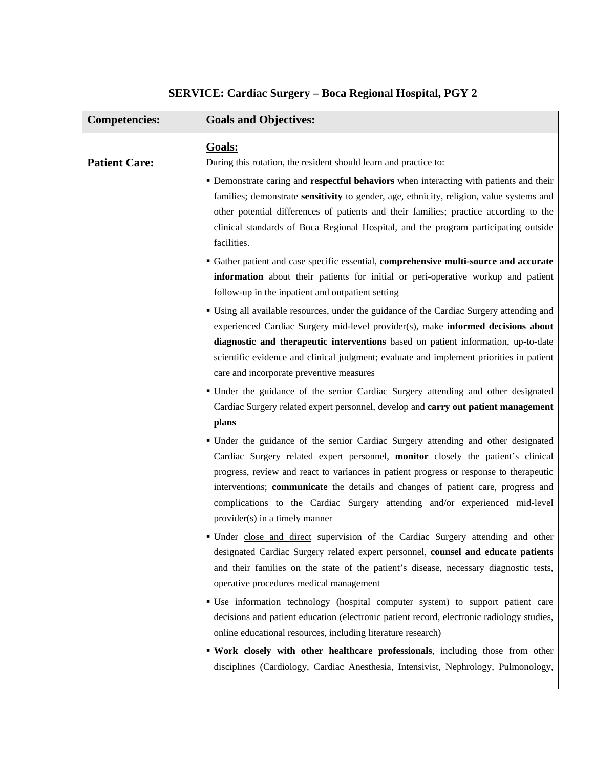| <b>Competencies:</b> | <b>Goals and Objectives:</b>                                                                                                                                                                                                                                                                                                                                                                                                                                         |
|----------------------|----------------------------------------------------------------------------------------------------------------------------------------------------------------------------------------------------------------------------------------------------------------------------------------------------------------------------------------------------------------------------------------------------------------------------------------------------------------------|
| <b>Patient Care:</b> | Goals:<br>During this rotation, the resident should learn and practice to:                                                                                                                                                                                                                                                                                                                                                                                           |
|                      | • Demonstrate caring and respectful behaviors when interacting with patients and their<br>families; demonstrate sensitivity to gender, age, ethnicity, religion, value systems and<br>other potential differences of patients and their families; practice according to the<br>clinical standards of Boca Regional Hospital, and the program participating outside<br>facilities.                                                                                    |
|                      | <b>Gather patient and case specific essential, comprehensive multi-source and accurate</b><br>information about their patients for initial or peri-operative workup and patient<br>follow-up in the inpatient and outpatient setting                                                                                                                                                                                                                                 |
|                      | • Using all available resources, under the guidance of the Cardiac Surgery attending and<br>experienced Cardiac Surgery mid-level provider(s), make informed decisions about<br>diagnostic and therapeutic interventions based on patient information, up-to-date<br>scientific evidence and clinical judgment; evaluate and implement priorities in patient<br>care and incorporate preventive measures                                                             |
|                      | • Under the guidance of the senior Cardiac Surgery attending and other designated<br>Cardiac Surgery related expert personnel, develop and carry out patient management<br>plans                                                                                                                                                                                                                                                                                     |
|                      | • Under the guidance of the senior Cardiac Surgery attending and other designated<br>Cardiac Surgery related expert personnel, monitor closely the patient's clinical<br>progress, review and react to variances in patient progress or response to therapeutic<br>interventions; communicate the details and changes of patient care, progress and<br>complications to the Cardiac Surgery attending and/or experienced mid-level<br>provider(s) in a timely manner |
|                      | • Under close and direct supervision of the Cardiac Surgery attending and other<br>designated Cardiac Surgery related expert personnel, counsel and educate patients<br>and their families on the state of the patient's disease, necessary diagnostic tests,<br>operative procedures medical management                                                                                                                                                             |
|                      | " Use information technology (hospital computer system) to support patient care<br>decisions and patient education (electronic patient record, electronic radiology studies,<br>online educational resources, including literature research)                                                                                                                                                                                                                         |
|                      | " Work closely with other healthcare professionals, including those from other<br>disciplines (Cardiology, Cardiac Anesthesia, Intensivist, Nephrology, Pulmonology,                                                                                                                                                                                                                                                                                                 |

# **SERVICE: Cardiac Surgery – Boca Regional Hospital, PGY 2**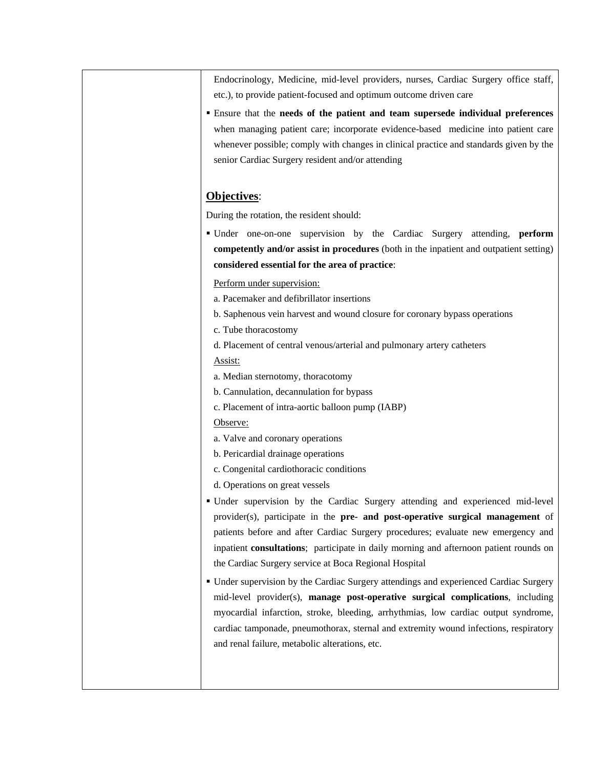Endocrinology, Medicine, mid-level providers, nurses, Cardiac Surgery office staff, etc.), to provide patient-focused and optimum outcome driven care

 Ensure that the **needs of the patient and team supersede individual preferences** when managing patient care; incorporate evidence-based medicine into patient care whenever possible; comply with changes in clinical practice and standards given by the senior Cardiac Surgery resident and/or attending

## **Objectives**:

During the rotation, the resident should:

 Under one-on-one supervision by the Cardiac Surgery attending, **perform competently and/or assist in procedures** (both in the inpatient and outpatient setting) **considered essential for the area of practice**:

#### Perform under supervision:

- a. Pacemaker and defibrillator insertions
- b. Saphenous vein harvest and wound closure for coronary bypass operations
- c. Tube thoracostomy
- d. Placement of central venous/arterial and pulmonary artery catheters

#### Assist:

- a. Median sternotomy, thoracotomy
- b. Cannulation, decannulation for bypass
- c. Placement of intra-aortic balloon pump (IABP)

### Observe:

- a. Valve and coronary operations
- b. Pericardial drainage operations
- c. Congenital cardiothoracic conditions
- d. Operations on great vessels
- Under supervision by the Cardiac Surgery attending and experienced mid-level provider(s), participate in the **pre- and post-operative surgical management** of patients before and after Cardiac Surgery procedures; evaluate new emergency and inpatient **consultations**; participate in daily morning and afternoon patient rounds on the Cardiac Surgery service at Boca Regional Hospital
- Under supervision by the Cardiac Surgery attendings and experienced Cardiac Surgery mid-level provider(s), **manage post-operative surgical complications**, including myocardial infarction, stroke, bleeding, arrhythmias, low cardiac output syndrome, cardiac tamponade, pneumothorax, sternal and extremity wound infections, respiratory and renal failure, metabolic alterations, etc.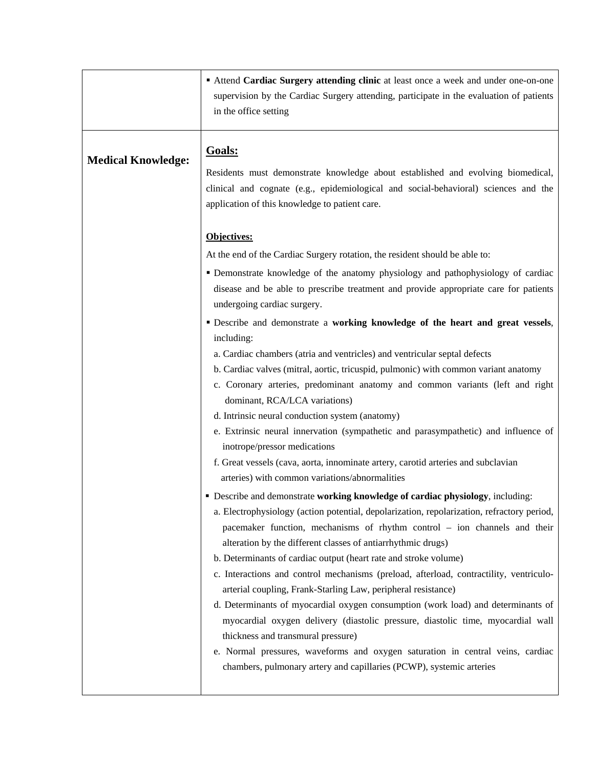|                           | " Attend Cardiac Surgery attending clinic at least once a week and under one-on-one<br>supervision by the Cardiac Surgery attending, participate in the evaluation of patients<br>in the office setting                                                                                                                                                                                                                                                                                                                                                                                                                                                                                                                                                                                                                                                                                                                                                                                                                                                                                                                                                                                                                                                                                                                                                                                                                                                                                                                                                                                                                                                                                                                                                                                                                                                                                                                                               |
|---------------------------|-------------------------------------------------------------------------------------------------------------------------------------------------------------------------------------------------------------------------------------------------------------------------------------------------------------------------------------------------------------------------------------------------------------------------------------------------------------------------------------------------------------------------------------------------------------------------------------------------------------------------------------------------------------------------------------------------------------------------------------------------------------------------------------------------------------------------------------------------------------------------------------------------------------------------------------------------------------------------------------------------------------------------------------------------------------------------------------------------------------------------------------------------------------------------------------------------------------------------------------------------------------------------------------------------------------------------------------------------------------------------------------------------------------------------------------------------------------------------------------------------------------------------------------------------------------------------------------------------------------------------------------------------------------------------------------------------------------------------------------------------------------------------------------------------------------------------------------------------------------------------------------------------------------------------------------------------------|
| <b>Medical Knowledge:</b> | Goals:<br>Residents must demonstrate knowledge about established and evolving biomedical,<br>clinical and cognate (e.g., epidemiological and social-behavioral) sciences and the<br>application of this knowledge to patient care.                                                                                                                                                                                                                                                                                                                                                                                                                                                                                                                                                                                                                                                                                                                                                                                                                                                                                                                                                                                                                                                                                                                                                                                                                                                                                                                                                                                                                                                                                                                                                                                                                                                                                                                    |
|                           | Objectives:<br>At the end of the Cardiac Surgery rotation, the resident should be able to:<br>· Demonstrate knowledge of the anatomy physiology and pathophysiology of cardiac<br>disease and be able to prescribe treatment and provide appropriate care for patients<br>undergoing cardiac surgery.<br>" Describe and demonstrate a working knowledge of the heart and great vessels,<br>including:<br>a. Cardiac chambers (atria and ventricles) and ventricular septal defects<br>b. Cardiac valves (mitral, aortic, tricuspid, pulmonic) with common variant anatomy<br>c. Coronary arteries, predominant anatomy and common variants (left and right<br>dominant, RCA/LCA variations)<br>d. Intrinsic neural conduction system (anatomy)<br>e. Extrinsic neural innervation (sympathetic and parasympathetic) and influence of<br>inotrope/pressor medications<br>f. Great vessels (cava, aorta, innominate artery, carotid arteries and subclavian<br>arteries) with common variations/abnormalities<br><b>-</b> Describe and demonstrate working knowledge of cardiac physiology, including:<br>a. Electrophysiology (action potential, depolarization, repolarization, refractory period,<br>pacemaker function, mechanisms of rhythm control - ion channels and their<br>alteration by the different classes of antiarrhythmic drugs)<br>b. Determinants of cardiac output (heart rate and stroke volume)<br>c. Interactions and control mechanisms (preload, afterload, contractility, ventriculo-<br>arterial coupling, Frank-Starling Law, peripheral resistance)<br>d. Determinants of myocardial oxygen consumption (work load) and determinants of<br>myocardial oxygen delivery (diastolic pressure, diastolic time, myocardial wall<br>thickness and transmural pressure)<br>e. Normal pressures, waveforms and oxygen saturation in central veins, cardiac<br>chambers, pulmonary artery and capillaries (PCWP), systemic arteries |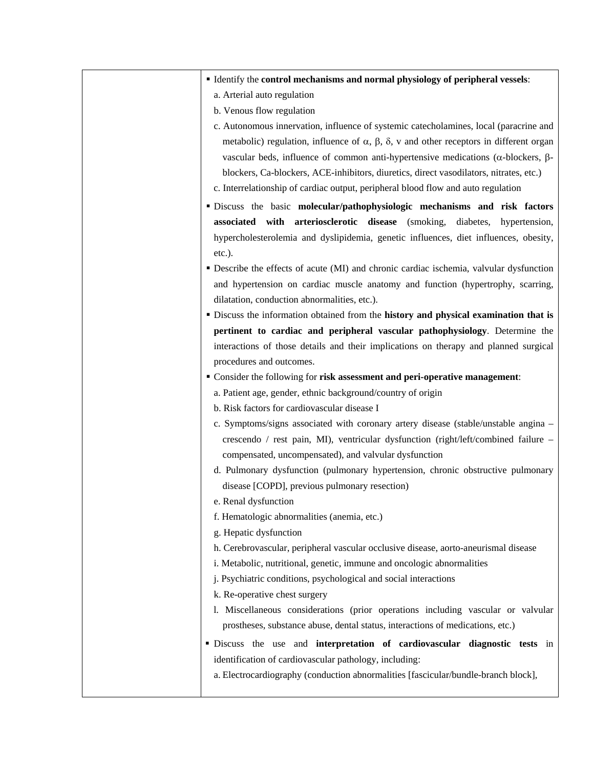| " Identify the control mechanisms and normal physiology of peripheral vessels:                               |
|--------------------------------------------------------------------------------------------------------------|
| a. Arterial auto regulation                                                                                  |
| b. Venous flow regulation                                                                                    |
| c. Autonomous innervation, influence of systemic catecholamines, local (paracrine and                        |
| metabolic) regulation, influence of $\alpha$ , $\beta$ , $\delta$ , v and other receptors in different organ |
| vascular beds, influence of common anti-hypertensive medications ( $\alpha$ -blockers, $\beta$ -             |
| blockers, Ca-blockers, ACE-inhibitors, diuretics, direct vasodilators, nitrates, etc.)                       |
| c. Interrelationship of cardiac output, peripheral blood flow and auto regulation                            |
| · Discuss the basic molecular/pathophysiologic mechanisms and risk factors                                   |
| associated with arteriosclerotic disease (smoking, diabetes, hypertension,                                   |
| hypercholesterolemia and dyslipidemia, genetic influences, diet influences, obesity,                         |
| etc.).                                                                                                       |
| • Describe the effects of acute (MI) and chronic cardiac ischemia, valvular dysfunction                      |
| and hypertension on cardiac muscle anatomy and function (hypertrophy, scarring,                              |
| dilatation, conduction abnormalities, etc.).                                                                 |
| • Discuss the information obtained from the history and physical examination that is                         |
| pertinent to cardiac and peripheral vascular pathophysiology. Determine the                                  |
| interactions of those details and their implications on therapy and planned surgical                         |
| procedures and outcomes.                                                                                     |
| " Consider the following for risk assessment and peri-operative management:                                  |
| a. Patient age, gender, ethnic background/country of origin                                                  |
| b. Risk factors for cardiovascular disease I                                                                 |
| c. Symptoms/signs associated with coronary artery disease (stable/unstable angina -                          |
| crescendo / rest pain, MI), ventricular dysfunction (right/left/combined failure -                           |
| compensated, uncompensated), and valvular dysfunction                                                        |
| d. Pulmonary dysfunction (pulmonary hypertension, chronic obstructive pulmonary                              |
| disease [COPD], previous pulmonary resection)                                                                |
| e. Renal dysfunction                                                                                         |
| f. Hematologic abnormalities (anemia, etc.)                                                                  |
| g. Hepatic dysfunction                                                                                       |
| h. Cerebrovascular, peripheral vascular occlusive disease, aorto-aneurismal disease                          |
| i. Metabolic, nutritional, genetic, immune and oncologic abnormalities                                       |
| j. Psychiatric conditions, psychological and social interactions                                             |
| k. Re-operative chest surgery                                                                                |
| 1. Miscellaneous considerations (prior operations including vascular or valvular                             |
| prostheses, substance abuse, dental status, interactions of medications, etc.)                               |
| · Discuss the use and interpretation of cardiovascular diagnostic tests in                                   |
| identification of cardiovascular pathology, including:                                                       |
| a. Electrocardiography (conduction abnormalities [fascicular/bundle-branch block],                           |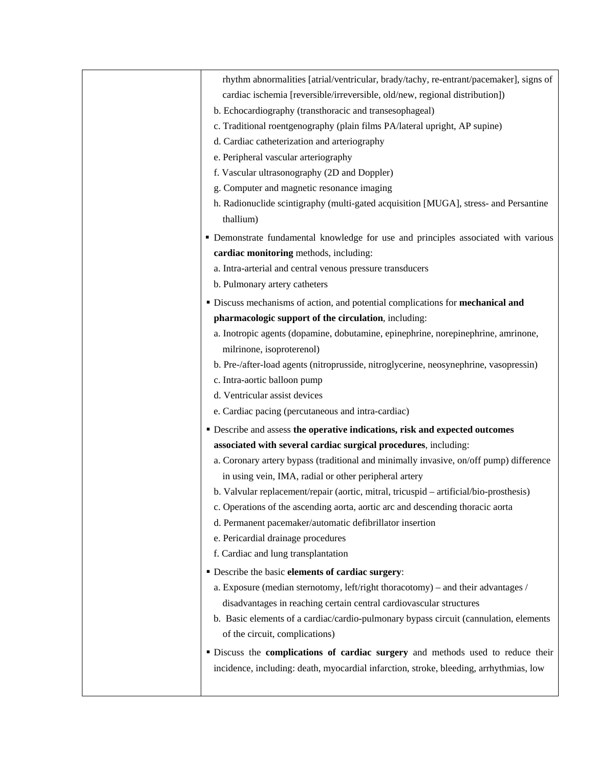| rhythm abnormalities [atrial/ventricular, brady/tachy, re-entrant/pacemaker], signs of            |
|---------------------------------------------------------------------------------------------------|
| cardiac ischemia [reversible/irreversible, old/new, regional distribution])                       |
| b. Echocardiography (transthoracic and transesophageal)                                           |
| c. Traditional roentgenography (plain films PA/lateral upright, AP supine)                        |
| d. Cardiac catheterization and arteriography                                                      |
| e. Peripheral vascular arteriography                                                              |
| f. Vascular ultrasonography (2D and Doppler)                                                      |
| g. Computer and magnetic resonance imaging                                                        |
| h. Radionuclide scintigraphy (multi-gated acquisition [MUGA], stress- and Persantine<br>thallium) |
| · Demonstrate fundamental knowledge for use and principles associated with various                |
| cardiac monitoring methods, including:                                                            |
| a. Intra-arterial and central venous pressure transducers                                         |
| b. Pulmonary artery catheters                                                                     |
| · Discuss mechanisms of action, and potential complications for mechanical and                    |
| pharmacologic support of the circulation, including:                                              |
| a. Inotropic agents (dopamine, dobutamine, epinephrine, norepinephrine, amrinone,                 |
| milrinone, isoproterenol)                                                                         |
| b. Pre-/after-load agents (nitroprusside, nitroglycerine, neosynephrine, vasopressin)             |
| c. Intra-aortic balloon pump                                                                      |
| d. Ventricular assist devices                                                                     |
| e. Cardiac pacing (percutaneous and intra-cardiac)                                                |
| " Describe and assess the operative indications, risk and expected outcomes                       |
| associated with several cardiac surgical procedures, including:                                   |
| a. Coronary artery bypass (traditional and minimally invasive, on/off pump) difference            |
| in using vein, IMA, radial or other peripheral artery                                             |
| b. Valvular replacement/repair (aortic, mitral, tricuspid – artificial/bio-prosthesis)            |
| c. Operations of the ascending aorta, aortic arc and descending thoracic aorta                    |
| d. Permanent pacemaker/automatic defibrillator insertion                                          |
| e. Pericardial drainage procedures                                                                |
| f. Cardiac and lung transplantation                                                               |
| · Describe the basic elements of cardiac surgery:                                                 |
| a. Exposure (median sternotomy, left/right thoracotomy) – and their advantages /                  |
| disadvantages in reaching certain central cardiovascular structures                               |
| b. Basic elements of a cardiac/cardio-pulmonary bypass circuit (cannulation, elements             |
| of the circuit, complications)                                                                    |
| · Discuss the complications of cardiac surgery and methods used to reduce their                   |
| incidence, including: death, myocardial infarction, stroke, bleeding, arrhythmias, low            |
|                                                                                                   |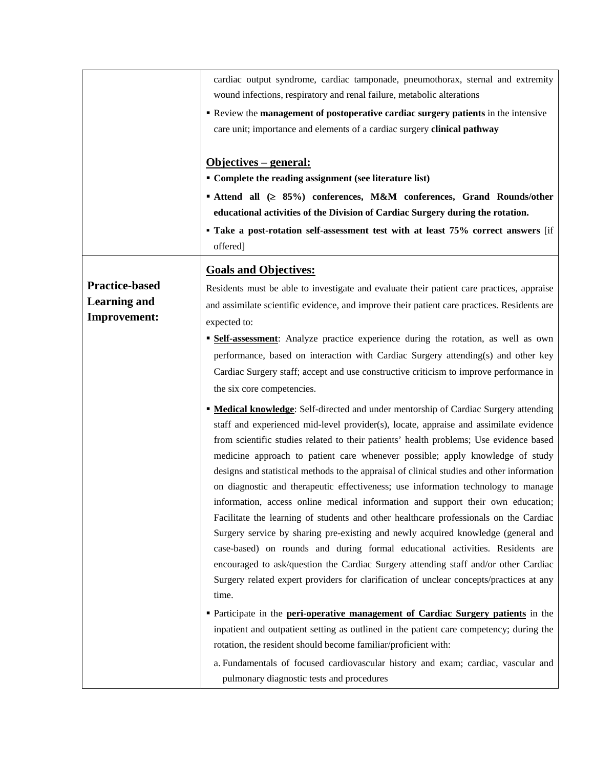|                                                                     | cardiac output syndrome, cardiac tamponade, pneumothorax, sternal and extremity<br>wound infections, respiratory and renal failure, metabolic alterations<br><b>• Review the management of postoperative cardiac surgery patients</b> in the intensive<br>care unit; importance and elements of a cardiac surgery clinical pathway<br><u> Objectives – general:</u><br>• Complete the reading assignment (see literature list)<br>■ Attend all (≥ 85%) conferences, M&M conferences, Grand Rounds/other<br>educational activities of the Division of Cardiac Surgery during the rotation.<br>• Take a post-rotation self-assessment test with at least 75% correct answers [if<br>offered]                                                                                                                                                                                                                                                                                                                                                                                                                                                                                                                                                                                                                                                        |
|---------------------------------------------------------------------|---------------------------------------------------------------------------------------------------------------------------------------------------------------------------------------------------------------------------------------------------------------------------------------------------------------------------------------------------------------------------------------------------------------------------------------------------------------------------------------------------------------------------------------------------------------------------------------------------------------------------------------------------------------------------------------------------------------------------------------------------------------------------------------------------------------------------------------------------------------------------------------------------------------------------------------------------------------------------------------------------------------------------------------------------------------------------------------------------------------------------------------------------------------------------------------------------------------------------------------------------------------------------------------------------------------------------------------------------|
|                                                                     | <b>Goals and Objectives:</b>                                                                                                                                                                                                                                                                                                                                                                                                                                                                                                                                                                                                                                                                                                                                                                                                                                                                                                                                                                                                                                                                                                                                                                                                                                                                                                                      |
| <b>Practice-based</b><br><b>Learning and</b><br><b>Improvement:</b> | Residents must be able to investigate and evaluate their patient care practices, appraise<br>and assimilate scientific evidence, and improve their patient care practices. Residents are<br>expected to:<br><b>Self-assessment:</b> Analyze practice experience during the rotation, as well as own<br>performance, based on interaction with Cardiac Surgery attending(s) and other key<br>Cardiac Surgery staff; accept and use constructive criticism to improve performance in<br>the six core competencies.                                                                                                                                                                                                                                                                                                                                                                                                                                                                                                                                                                                                                                                                                                                                                                                                                                  |
|                                                                     | <b>• Medical knowledge:</b> Self-directed and under mentorship of Cardiac Surgery attending<br>staff and experienced mid-level provider(s), locate, appraise and assimilate evidence<br>from scientific studies related to their patients' health problems; Use evidence based<br>medicine approach to patient care whenever possible; apply knowledge of study<br>designs and statistical methods to the appraisal of clinical studies and other information<br>on diagnostic and therapeutic effectiveness; use information technology to manage<br>information, access online medical information and support their own education;<br>Facilitate the learning of students and other healthcare professionals on the Cardiac<br>Surgery service by sharing pre-existing and newly acquired knowledge (general and<br>case-based) on rounds and during formal educational activities. Residents are<br>encouraged to ask/question the Cardiac Surgery attending staff and/or other Cardiac<br>Surgery related expert providers for clarification of unclear concepts/practices at any<br>time.<br>• Participate in the peri-operative management of Cardiac Surgery patients in the<br>inpatient and outpatient setting as outlined in the patient care competency; during the<br>rotation, the resident should become familiar/proficient with: |
|                                                                     | a. Fundamentals of focused cardiovascular history and exam; cardiac, vascular and<br>pulmonary diagnostic tests and procedures                                                                                                                                                                                                                                                                                                                                                                                                                                                                                                                                                                                                                                                                                                                                                                                                                                                                                                                                                                                                                                                                                                                                                                                                                    |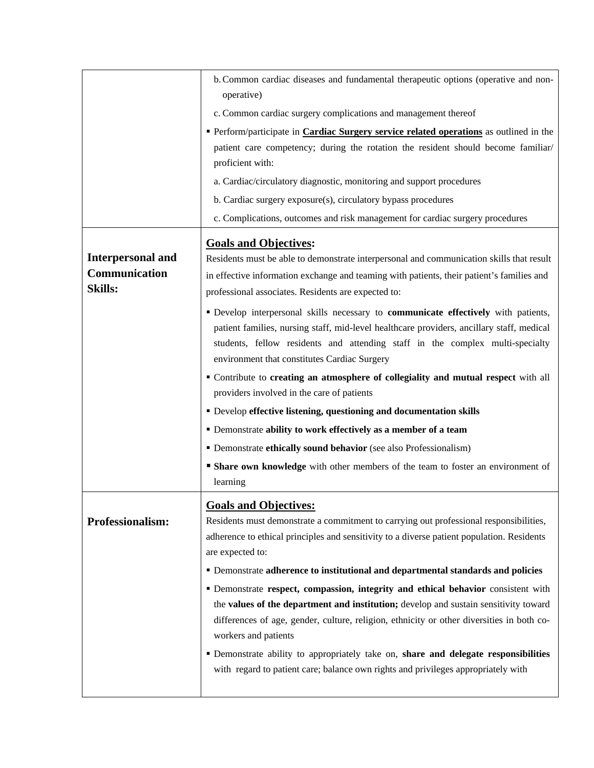|                          | b. Common cardiac diseases and fundamental therapeutic options (operative and non-<br>operative)                                                                                  |
|--------------------------|-----------------------------------------------------------------------------------------------------------------------------------------------------------------------------------|
|                          | c. Common cardiac surgery complications and management thereof                                                                                                                    |
|                          | Perform/participate in <b>Cardiac Surgery service related operations</b> as outlined in the                                                                                       |
|                          | patient care competency; during the rotation the resident should become familiar/                                                                                                 |
|                          | proficient with:                                                                                                                                                                  |
|                          | a. Cardiac/circulatory diagnostic, monitoring and support procedures                                                                                                              |
|                          | b. Cardiac surgery exposure(s), circulatory bypass procedures                                                                                                                     |
|                          | c. Complications, outcomes and risk management for cardiac surgery procedures                                                                                                     |
|                          | <b>Goals and Objectives:</b>                                                                                                                                                      |
| <b>Interpersonal and</b> | Residents must be able to demonstrate interpersonal and communication skills that result                                                                                          |
| Communication            | in effective information exchange and teaming with patients, their patient's families and                                                                                         |
| <b>Skills:</b>           | professional associates. Residents are expected to:                                                                                                                               |
|                          | " Develop interpersonal skills necessary to communicate effectively with patients,                                                                                                |
|                          | patient families, nursing staff, mid-level healthcare providers, ancillary staff, medical                                                                                         |
|                          | students, fellow residents and attending staff in the complex multi-specialty                                                                                                     |
|                          | environment that constitutes Cardiac Surgery                                                                                                                                      |
|                          | " Contribute to creating an atmosphere of collegiality and mutual respect with all                                                                                                |
|                          | providers involved in the care of patients                                                                                                                                        |
|                          | • Develop effective listening, questioning and documentation skills                                                                                                               |
|                          | • Demonstrate ability to work effectively as a member of a team                                                                                                                   |
|                          | • Demonstrate ethically sound behavior (see also Professionalism)                                                                                                                 |
|                          | <b>Share own knowledge</b> with other members of the team to foster an environment of                                                                                             |
|                          | learning                                                                                                                                                                          |
|                          | <b>Goals and Objectives:</b>                                                                                                                                                      |
| Professionalism:         | Residents must demonstrate a commitment to carrying out professional responsibilities,                                                                                            |
|                          | adherence to ethical principles and sensitivity to a diverse patient population. Residents                                                                                        |
|                          | are expected to:                                                                                                                                                                  |
|                          | • Demonstrate adherence to institutional and departmental standards and policies                                                                                                  |
|                          | · Demonstrate respect, compassion, integrity and ethical behavior consistent with                                                                                                 |
|                          | the values of the department and institution; develop and sustain sensitivity toward<br>differences of age, gender, culture, religion, ethnicity or other diversities in both co- |
|                          | workers and patients                                                                                                                                                              |
|                          | " Demonstrate ability to appropriately take on, share and delegate responsibilities                                                                                               |
|                          | with regard to patient care; balance own rights and privileges appropriately with                                                                                                 |
|                          |                                                                                                                                                                                   |